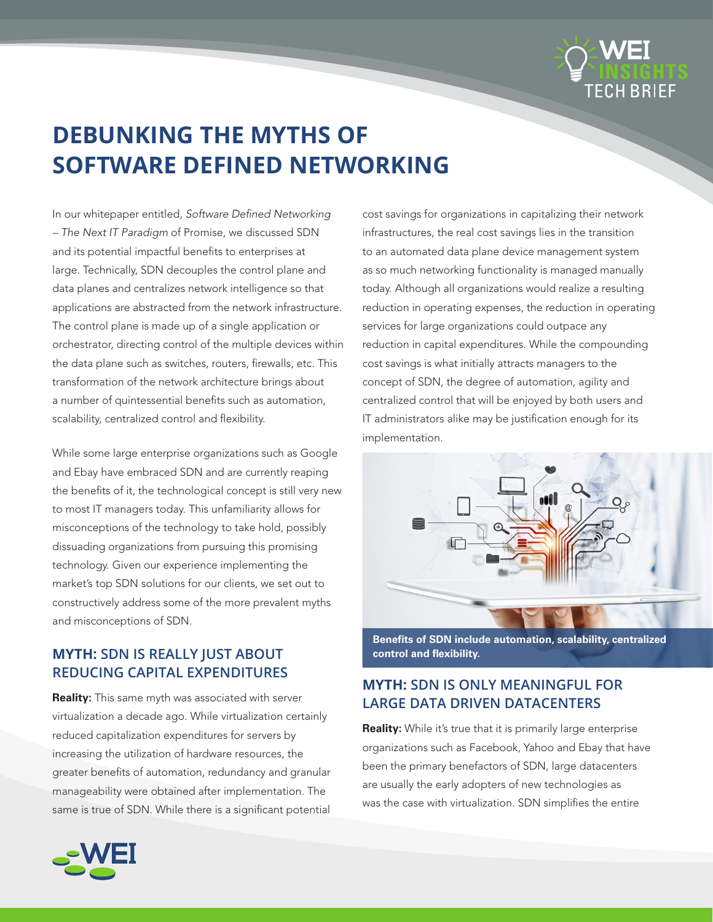

# **DEBUNKING THE MYTHS OF SOFTWARE DEFINED NETWORKING**

In our whitepaper entitled, *Software Defined Networking – The Next IT Paradigm* of Promise, we discussed SDN and its potential impactful benefits to enterprises at large. Technically, SDN decouples the control plane and data planes and centralizes network intelligence so that applications are abstracted from the network infrastructure. The control plane is made up of a single application or orchestrator, directing control of the multiple devices within the data plane such as switches, routers, firewalls, etc. This transformation of the network architecture brings about a number of quintessential benefits such as automation, scalability, centralized control and flexibility.

While some large enterprise organizations such as Google and Ebay have embraced SDN and are currently reaping the benefits of it, the technological concept is still very new to most IT managers today. This unfamiliarity allows for misconceptions of the technology to take hold, possibly dissuading organizations from pursuing this promising technology. Given our experience implementing the market's top SDN solutions for our clients, we set out to constructively address some of the more prevalent myths and misconceptions of SDN.

# **MYTH: SDN IS REALLY JUST ABOUT REDUCING CAPITAL EXPENDITURES**

**Reality:** This same myth was associated with server virtualization a decade ago. While virtualization certainly reduced capitalization expenditures for servers by increasing the utilization of hardware resources, the greater benefits of automation, redundancy and granular manageability were obtained after implementation. The same is true of SDN. While there is a significant potential

cost savings for organizations in capitalizing their network infrastructures, the real cost savings lies in the transition to an automated data plane device management system as so much networking functionality is managed manually today. Although all organizations would realize a resulting reduction in operating expenses, the reduction in operating services for large organizations could outpace any reduction in capital expenditures. While the compounding cost savings is what initially attracts managers to the concept of SDN, the degree of automation, agility and centralized control that will be enjoyed by both users and IT administrators alike may be justification enough for its implementation.



**Benefits of SDN include automation, scalability, centralized control and flexibility.** 

# **MYTH: SDN IS ONLY MEANINGFUL FOR LARGE DATA DRIVEN DATACENTERS**

**Reality:** While it's true that it is primarily large enterprise organizations such as Facebook, Yahoo and Ebay that have been the primary benefactors of SDN, large datacenters are usually the early adopters of new technologies as was the case with virtualization. SDN simplifies the entire

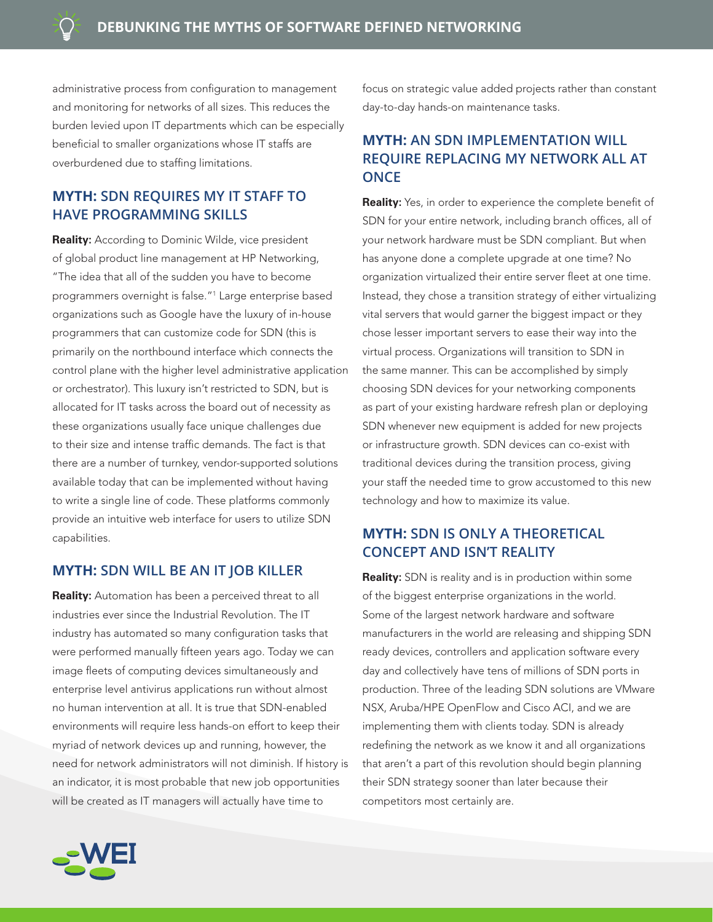administrative process from configuration to management and monitoring for networks of all sizes. This reduces the burden levied upon IT departments which can be especially beneficial to smaller organizations whose IT staffs are overburdened due to staffing limitations.

# **MYTH: SDN REQUIRES MY IT STAFF TO HAVE PROGRAMMING SKILLS**

**Reality:** According to Dominic Wilde, vice president of global product line management at HP Networking, "The idea that all of the sudden you have to become programmers overnight is false."1 Large enterprise based organizations such as Google have the luxury of in-house programmers that can customize code for SDN (this is primarily on the northbound interface which connects the control plane with the higher level administrative application or orchestrator). This luxury isn't restricted to SDN, but is allocated for IT tasks across the board out of necessity as these organizations usually face unique challenges due to their size and intense traffic demands. The fact is that there are a number of turnkey, vendor-supported solutions available today that can be implemented without having to write a single line of code. These platforms commonly provide an intuitive web interface for users to utilize SDN capabilities.

### **MYTH: SDN WILL BE AN IT JOB KILLER**

**Reality:** Automation has been a perceived threat to all industries ever since the Industrial Revolution. The IT industry has automated so many configuration tasks that were performed manually fifteen years ago. Today we can image fleets of computing devices simultaneously and enterprise level antivirus applications run without almost no human intervention at all. It is true that SDN-enabled environments will require less hands-on effort to keep their myriad of network devices up and running, however, the need for network administrators will not diminish. If history is an indicator, it is most probable that new job opportunities will be created as IT managers will actually have time to

focus on strategic value added projects rather than constant day-to-day hands-on maintenance tasks.

# **MYTH: AN SDN IMPLEMENTATION WILL REQUIRE REPLACING MY NETWORK ALL AT ONCE**

**Reality:** Yes, in order to experience the complete benefit of SDN for your entire network, including branch offices, all of your network hardware must be SDN compliant. But when has anyone done a complete upgrade at one time? No organization virtualized their entire server fleet at one time. Instead, they chose a transition strategy of either virtualizing vital servers that would garner the biggest impact or they chose lesser important servers to ease their way into the virtual process. Organizations will transition to SDN in the same manner. This can be accomplished by simply choosing SDN devices for your networking components as part of your existing hardware refresh plan or deploying SDN whenever new equipment is added for new projects or infrastructure growth. SDN devices can co-exist with traditional devices during the transition process, giving your staff the needed time to grow accustomed to this new technology and how to maximize its value.

## **MYTH: SDN IS ONLY A THEORETICAL CONCEPT AND ISN'T REALITY**

**Reality:** SDN is reality and is in production within some of the biggest enterprise organizations in the world. Some of the largest network hardware and software manufacturers in the world are releasing and shipping SDN ready devices, controllers and application software every day and collectively have tens of millions of SDN ports in production. Three of the leading SDN solutions are VMware NSX, Aruba/HPE OpenFlow and Cisco ACI, and we are implementing them with clients today. SDN is already redefining the network as we know it and all organizations that aren't a part of this revolution should begin planning their SDN strategy sooner than later because their competitors most certainly are.